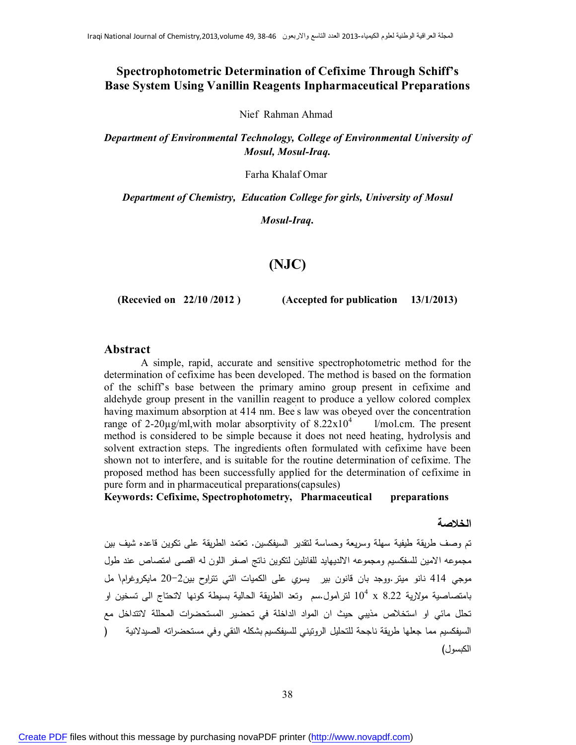## **Spectrophotometric Determination of Cefixime Through Schiff's Base System Using Vanillin Reagents Inpharmaceutical Preparations**

Nief Rahman Ahmad

*Department of Environmental Technology, College of Environmental University of Mosul, Mosul-Iraq.*

Farha Khalaf Omar

*Department of Chemistry, Education College for girls, University of Mosul*

*Mosul-Iraq.*

# **(NJC)**

**(Recevied on 22/10 /2012 ) (Accepted for publication 13/1/2013)**

#### **Abstract**

 A simple, rapid, accurate and sensitive spectrophotometric method for the determination of cefixime has been developed. The method is based on the formation of the schiff's base between the primary amino group present in cefixime and aldehyde group present in the vanillin reagent to produce a yellow colored complex having maximum absorption at 414 nm. Bee's law was obeyed over the concentration range of 2-20 $\mu$ g/ml,with molar absorptivity of 8.22x10<sup>4</sup> l/mol.cm. The present method is considered to be simple because it does not need heating, hydrolysis and solvent extraction steps. The ingredients often formulated with cefixime have been shown not to interfere, and is suitable for the routine determination of cefixime. The proposed method has been successfully applied for the determination of cefixime in pure form and in pharmaceutical preparations(capsules)

**Keywords: Cefixime, Spectrophotometry, Pharmaceutical preparations** 

#### **الخلاصة**

تم وصف طریقة طیفیة سهلة وسریعة وحساسة لتقدیر السیفكسین. تعتمد الطریقة على تكوین قاعده شیف بین مجموعه الامین للسفكسیم ومجموعه الالدیهاید للفانلین لتكوین ناتج اصفر اللون له اقصى امتصاص عند طول موجي 414 نانو میتر.ووجد بان قانون بیر یسري على الكمیات التي تتراوح بین20-2 مایكروغرام\ مل بامتصاصیة مولاریة 8.22 x  $10^4$  لتر\مول.سم ۖ وتعد الطریقة الحالیة بسیطة كونها لاتحتاج الى تسخین او تحلل مائي او استخلاص مذیبي حیث ان المواد الداخلة في تحضیر المستحضرات المحللة لاتتداخل مع السیفكسیم مما جعلها طریقة ناجحة للتحلیل الروتیني للسیفكسیم بشكله النقي وفي مستحضراته الصیدلانیة ( الكبسول)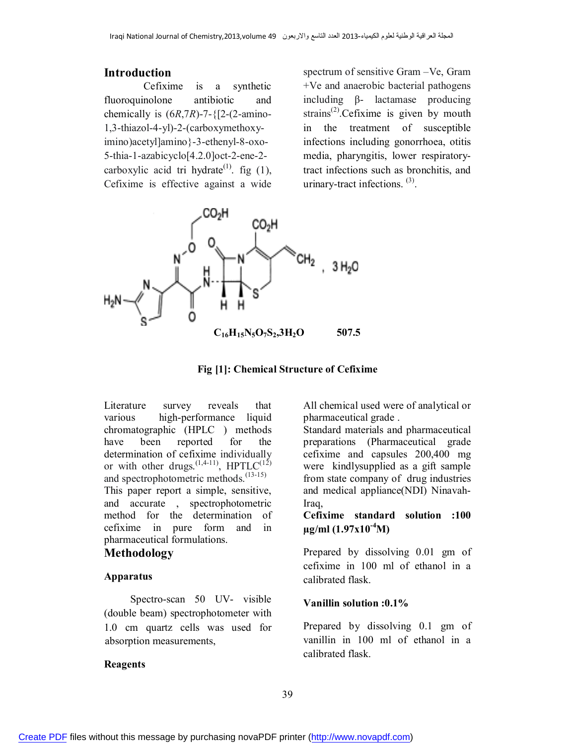#### **Introduction**

 Cefixime is a synthetic fluoroquinolone antibiotic and chemically is  $(6R,7R)$ -7- ${2-(2-amin-$ 1,3-thiazol-4-yl)-2-(carboxymethoxyimino)acetyl]amino}-3-ethenyl-8-oxo-5-thia-1-azabicyclo[4.2.0]oct-2-ene-2 carboxylic acid tri hydrate<sup>(1)</sup>. fig (1), Cefixime is effective against a wide

spectrum of sensitive Gram –Ve, Gram +Ve and anaerobic bacterial pathogens including β- lactamase producing strains<sup>(2)</sup>. Cefixime is given by mouth in the treatment of susceptible infections including gonorrhoea, otitis media, pharyngitis, lower respiratorytract infections such as bronchitis, and urinary-tract infections.<sup>(3)</sup>.





Literature survey reveals that various high-performance liquid chromatographic (HPLC ) methods have been reported for the determination of cefixime individually or with other drugs.  $(1,4-11)$ , HPTLC $(12)$ and spectrophotometric methods.<sup>(13-15)</sup> This paper report a simple, sensitive, and accurate , spectrophotometric method for the determination of cefixime in pure form and in pharmaceutical formulations.

## **Methodology**

### **Apparatus**

 Spectro-scan 50 UV- visible (double beam) spectrophotometer with 1.0 cm quartz cells was used for absorption measurements,

#### **Reagents**

All chemical used were of analytical or pharmaceutical grade .

Standard materials and pharmaceutical preparations (Pharmaceutical grade cefixime and capsules 200,400 mg were kindlysupplied as a gift sample from state company of drug industries and medical appliance(NDI) Ninavah-Iraq,

### **Cefixime standard solution :100 µg/ml (1.97x10-4M)**

Prepared by dissolving 0.01 gm of cefixime in 100 ml of ethanol in a calibrated flask.

#### **Vanillin solution :0.1%**

Prepared by dissolving 0.1 gm of vanillin in 100 ml of ethanol in a calibrated flask.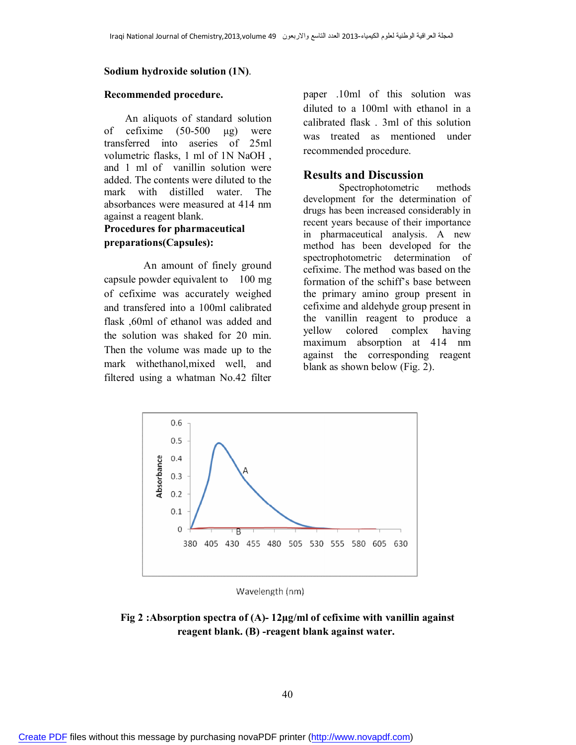#### **Sodium hydroxide solution (1N)**.

#### **Recommended procedure.**

 An aliquots of standard solution of cefixime (50-500 μg) were transferred into aseries of 25ml volumetric flasks, 1 ml of 1N NaOH , and 1 ml of vanillin solution were added. The contents were diluted to the mark with distilled water. The absorbances were measured at 414 nm against a reagent blank.

### **Procedures for pharmaceutical preparations(Capsules):**

 An amount of finely ground capsule powder equivalent to 100 mg of cefixime was accurately weighed and transfered into a 100ml calibrated flask ,60ml of ethanol was added and the solution was shaked for 20 min. Then the volume was made up to the mark withethanol,mixed well, and filtered using a whatman No.42 filter

paper .10ml of this solution was diluted to a 100ml with ethanol in a calibrated flask . 3ml of this solution was treated as mentioned under recommended procedure.

#### **Results and Discussion**

 Spectrophotometric methods development for the determination of drugs has been increased considerably in recent years because of their importance in pharmaceutical analysis. A new method has been developed for the spectrophotometric determination of cefixime. The method was based on the formation of the schiff's base between the primary amino group present in cefixime and aldehyde group present in the vanillin reagent to produce a yellow colored complex having maximum absorption at 414 nm against the corresponding reagent blank as shown below (Fig. 2).



Wavelength (nm)

## **Fig 2 :Absorption spectra of (A)- 12µg/ml of cefixime with vanillin against reagent blank. (B) -reagent blank against water.**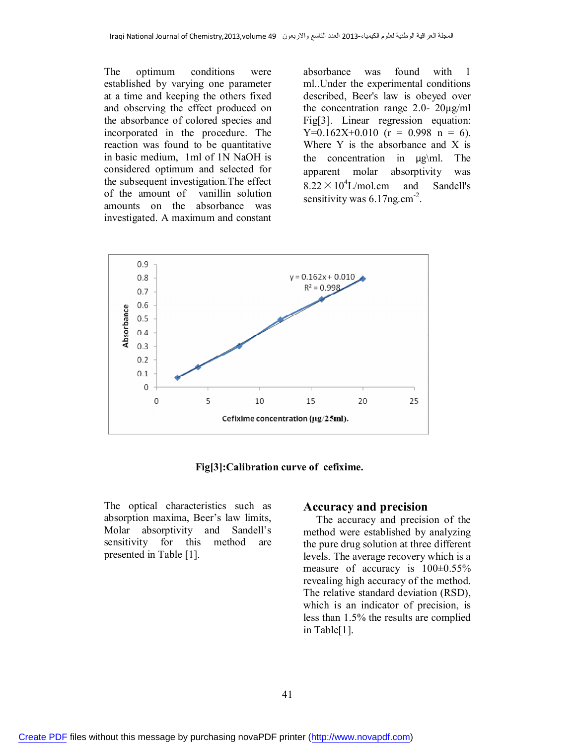The optimum conditions were established by varying one parameter at a time and keeping the others fixed and observing the effect produced on the absorbance of colored species and incorporated in the procedure. The reaction was found to be quantitative in basic medium, 1ml of 1N NaOH is considered optimum and selected for the subsequent investigation.The effect of the amount of vanillin solution amounts on the absorbance was investigated. A maximum and constant

absorbance was found with 1 ml..Under the experimental conditions described, Beer's law is obeyed over the concentration range 2.0- 20µg/ml Fig[3]. Linear regression equation:  $Y=0.162X+0.010$  (r = 0.998 n = 6). Where Y is the absorbance and X is the concentration in µg\ml. The apparent molar absorptivity was  $8.22 \times 10^4$ L/mol.cm and Sandell's sensitivity was  $6.17$ ng.cm<sup>-2</sup>.



**Fig[3]:Calibration curve of cefixime.**

The optical characteristics such as absorption maxima, Beer's law limits, Molar absorptivity and Sandell's sensitivity for this method are presented in Table [1].

#### **Accuracy and precision**

 The accuracy and precision of the method were established by analyzing the pure drug solution at three different levels. The average recovery which is a measure of accuracy is  $100\pm0.55\%$ revealing high accuracy of the method. The relative standard deviation (RSD), which is an indicator of precision, is less than 1.5% the results are complied in Table[1].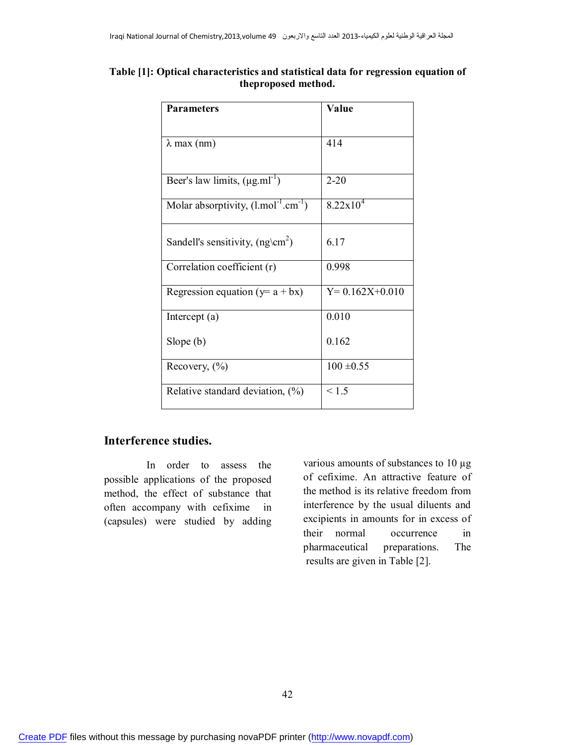#### **Table [1]: Optical characteristics and statistical data for regression equation of theproposed method.**

| <b>Parameters</b>                            | Value                |  |
|----------------------------------------------|----------------------|--|
| $\lambda$ max (nm)                           | 414                  |  |
|                                              |                      |  |
| Beer's law limits, $(\mu g.mI^{-1})$         | $2 - 20$             |  |
| Molar absorptivity, $(l/mol^{-1}cm^{-1})$    | $8.22 \times 10^{4}$ |  |
| Sandell's sensitivity, $(ng\$ <sup>2</sup> ) | 6.17                 |  |
| Correlation coefficient (r)                  | 0.998                |  |
| Regression equation ( $y = a + bx$ )         | $Y= 0.162X + 0.010$  |  |
| Intercept $(a)$                              | 0.010                |  |
| Slope $(b)$                                  | 0.162                |  |
| Recovery, $(\%$ )                            | $100 \pm 0.55$       |  |
| Relative standard deviation, $(\%)$          | < 1.5                |  |

# **Interference studies.**

 In order to assess the possible applications of the proposed method, the effect of substance that often accompany with cefixime in (capsules) were studied by adding various amounts of substances to 10 µg of cefixime. An attractive feature of the method is its relative freedom from interference by the usual diluents and excipients in amounts for in excess of their normal occurrence in pharmaceutical preparations. The results are given in Table [2].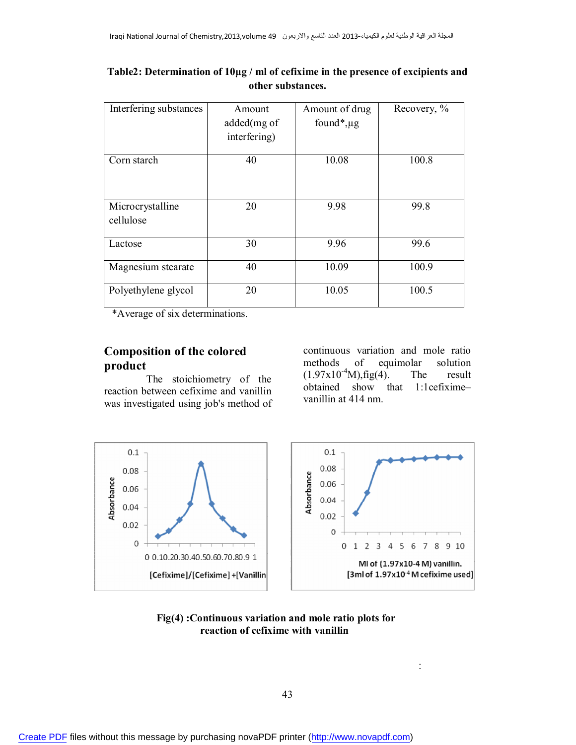| Interfering substances        | Amount       | Amount of drug               | Recovery, % |
|-------------------------------|--------------|------------------------------|-------------|
|                               | added(mg of  | found <sup>*</sup> , $\mu$ g |             |
|                               | interfering) |                              |             |
| Corn starch                   | 40           | 10.08                        | 100.8       |
| Microcrystalline<br>cellulose | 20           | 9.98                         | 99.8        |
| Lactose                       | 30           | 9.96                         | 99.6        |
| Magnesium stearate            | 40           | 10.09                        | 100.9       |
| Polyethylene glycol           | 20           | 10.05                        | 100.5       |

### **Table2: Determination of 10µg / ml of cefixime in the presence of excipients and other substances.**

\*Average of six determinations.

# **Composition of the colored product**

 The stoichiometry of the reaction between cefixime and vanillin was investigated using job's method of continuous variation and mole ratio methods of equimolar solution  $(1.97 \times 10^{-4} \text{M})$ , fig(4). The result obtained show that 1:1cefixime– vanillin at 414 nm.





:

#### **Fig(4) :Continuous variation and mole ratio plots for reaction of cefixime with vanillin**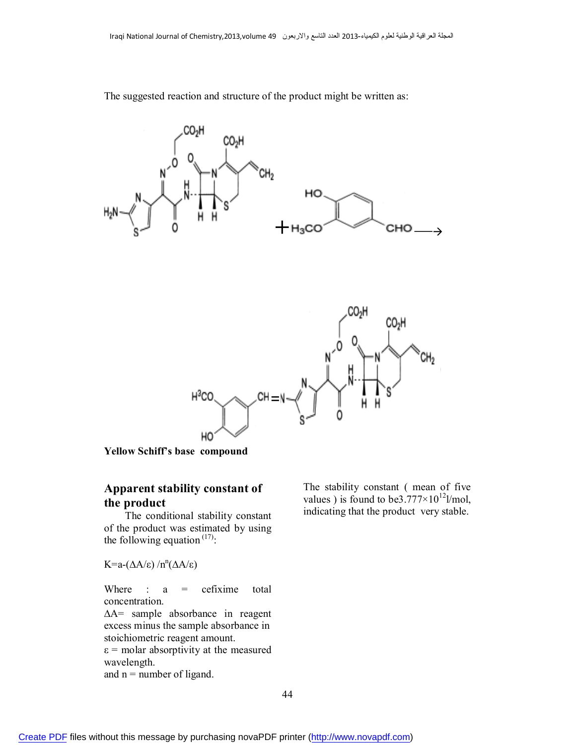

The suggested reaction and structure of the product might be written as:



**Yellow Schiff's base compound**

# **Apparent stability constant of the product**

 The conditional stability constant of the product was estimated by using the following equation  $(17)$ :

K=a-(ΔA/ε) /n<sup>n</sup>(ΔA/ε)

Where :  $a =$  cefixime total concentration.

∆A= sample absorbance in reagent excess minus the sample absorbance in stoichiometric reagent amount.  $\varepsilon$  = molar absorptivity at the measured

wavelength.

and  $n =$  number of ligand.

The stability constant ( mean of five values) is found to be 3.777 $\times$ 10<sup>12</sup>l/mol, indicating that the product very stable.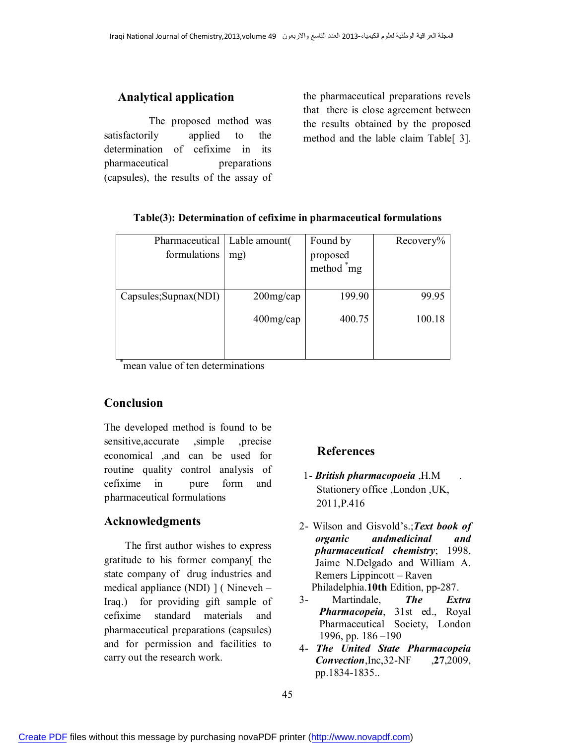## **Analytical application**

 The proposed method was satisfactorily applied to the determination of cefixime in its pharmaceutical preparations (capsules), the results of the assay of the pharmaceutical preparations revels that there is close agreement between the results obtained by the proposed method and the lable claim Table[ 3].

| Pharmaceutical   Lable amount |              | Found by                           | Recovery% |
|-------------------------------|--------------|------------------------------------|-----------|
| formulations                  | mg)          | proposed<br>method <sup>*</sup> mg |           |
|                               |              |                                    |           |
| Capsules; Supnax (NDI)        | $200$ mg/cap | 199.90                             | 99.95     |
|                               | $400$ mg/cap | 400.75                             | 100.18    |
|                               |              |                                    |           |

#### **Table(3): Determination of cefixime in pharmaceutical formulations**

\*mean value of ten determinations

### **Conclusion**

The developed method is found to be sensitive,accurate ,simple ,precise economical ,and can be used for routine quality control analysis of cefixime in pure form and pharmaceutical formulations

### **Acknowledgments**

 The first author wishes to express gratitude to his former company[ the state company of drug industries and medical appliance (NDI) ] ( Nineveh – Iraq.) for providing gift sample of cefixime standard materials and pharmaceutical preparations (capsules) and for permission and facilities to carry out the research work.

### **References**

- 1- *British pharmacopoeia* ,H.M . Stationery office ,London ,UK, 2011,P.416
- 2- Wilson and Gisvold's.;*Text book of organic andmedicinal and pharmaceutical chemistry*; 1998, Jaime N.Delgado and William A. Remers Lippincott – Raven Philadelphia.**10th** Edition, pp-287.
- 3- Martindale, *The Extra Pharmacopeia*, 31st ed., Royal Pharmaceutical Society, London 1996, pp. 186 –190
- 4- *The United State Pharmacopeia Convection*,Inc,32-NF ,**27**,2009, pp.1834-1835..